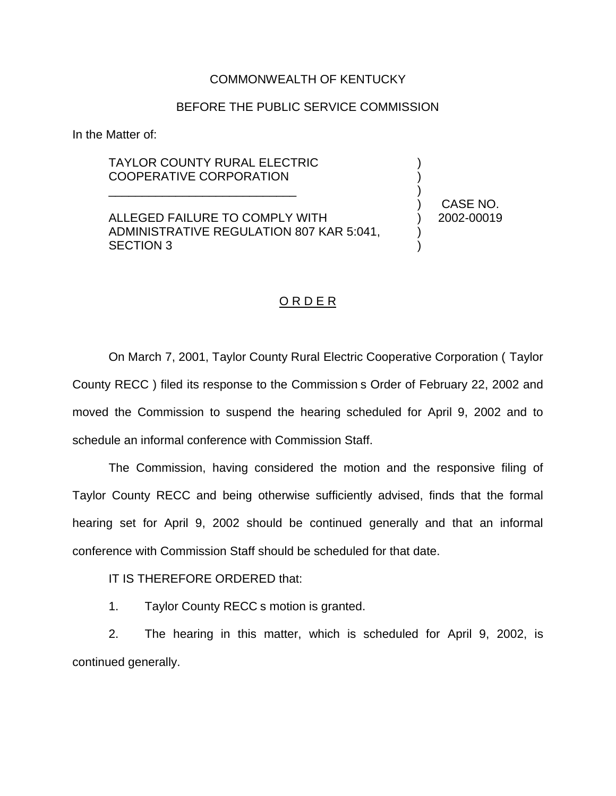## COMMONWEALTH OF KENTUCKY

## BEFORE THE PUBLIC SERVICE COMMISSION

In the Matter of:

## TAYLOR COUNTY RURAL ELECTRIC COOPERATIVE CORPORATION

\_\_\_\_\_\_\_\_\_\_\_\_\_\_\_\_\_\_\_\_\_\_\_\_\_\_\_\_

ALLEGED FAILURE TO COMPLY WITH ADMINISTRATIVE REGULATION 807 KAR 5:041, SECTION 3

) CASE NO. ) 2002-00019

) ) )

) )

## O R D E R

On March 7, 2001, Taylor County Rural Electric Cooperative Corporation ( Taylor County RECC ) filed its response to the Commission s Order of February 22, 2002 and moved the Commission to suspend the hearing scheduled for April 9, 2002 and to schedule an informal conference with Commission Staff.

The Commission, having considered the motion and the responsive filing of Taylor County RECC and being otherwise sufficiently advised, finds that the formal hearing set for April 9, 2002 should be continued generally and that an informal conference with Commission Staff should be scheduled for that date.

IT IS THEREFORE ORDERED that:

1. Taylor County RECC s motion is granted.

2. The hearing in this matter, which is scheduled for April 9, 2002, is continued generally.